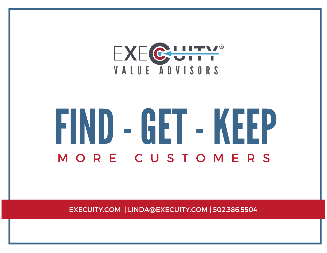

# FIND-GET-KEEP M O R E C U S T O M E R S

EXECUITY.COM | LINDA@EXECUITY.COM | 502.386.5504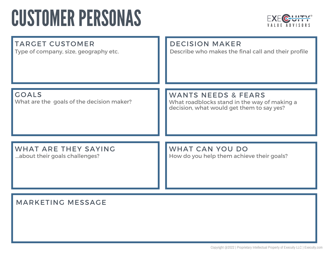## **CUSTOMER PERSONAS**



| <b>TARGET CUSTOMER</b>                                    | <b>DECISION MAKER</b>                                                                                                       |
|-----------------------------------------------------------|-----------------------------------------------------------------------------------------------------------------------------|
| Type of company, size, geography etc.                     | Describe who makes the final call and their profile                                                                         |
| <b>GOALS</b><br>What are the goals of the decision maker? | <b>WANTS NEEDS &amp; FEARS</b><br>What roadblocks stand in the way of making a<br>decision, what would get them to say yes? |
| <b>WHAT ARE THEY SAYING</b>                               | <b>WHAT CAN YOU DO</b>                                                                                                      |
| about their goals challenges?                             | How do you help them achieve their goals?                                                                                   |

#### MARKETING MESSAGE

Copyright @2022 | Proprietary Intellectual Property of Execuity LLC } Execuity.com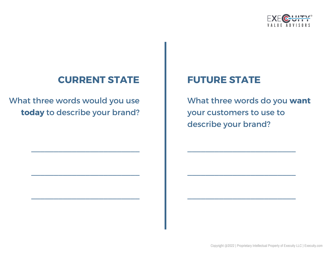

#### **CURRENT STATE**

What three words would you use **today** to describe your brand?

 $\mathcal{L}_\text{max}$  , where  $\mathcal{L}_\text{max}$  and  $\mathcal{L}_\text{max}$ 

 $\mathcal{L}_\text{max}$  , where  $\mathcal{L}_\text{max}$  and  $\mathcal{L}_\text{max}$ 

 $\mathcal{L}_\text{max}$  , where  $\mathcal{L}_\text{max}$  is the set of the set of the set of the set of the set of the set of the set of the set of the set of the set of the set of the set of the set of the set of the set of the set of the se

#### **FUTURE STATE**

What three words do you **want** your customers to use to describe your brand?

 $\mathcal{L}_\text{max}$  , where  $\mathcal{L}_\text{max}$  and  $\mathcal{L}_\text{max}$ 

 $\mathcal{L}_\text{max}$  , where  $\mathcal{L}_\text{max}$  and  $\mathcal{L}_\text{max}$ 

 $\mathcal{L}_\text{max}$  , where  $\mathcal{L}_\text{max}$  is the set of the set of the set of the set of the set of the set of the set of the set of the set of the set of the set of the set of the set of the set of the set of the set of the se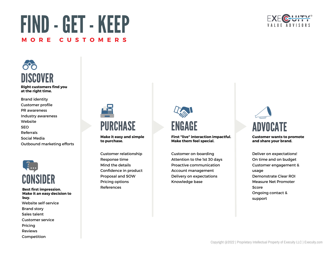#### Copyright @2022 | Proprietary Intellectual Property of Execuity LLC } Execuity.com

### FIND-GET-KEEP **M O R E C U S T O M E R S**

**Right customers find you at the right time.** DISCOVER

20

Brand identity Customer profile PR awareness Industry awareness Website SEO Referrals Social Media Outbound marketing efforts



**Best first impression. Make it an easy decision to buy.** Website self-service Brand story Sales talent Customer service Pricing Reviews Competition



Customer relationship Response time Mind the details Confidence in product Proposal and SOW Pricing options References

#### ENGAGE **First "live" interaction impactful. Make them feel special.**

Customer on-boarding Attention to the 1st 30 days Proactive communication Account management Delivery on expectations Knowledge base



Deliver on expectations! On time and on budget Customer engagement & usage Demonstrate Clear ROI Measure Net Promoter Score Ongoing contact & support